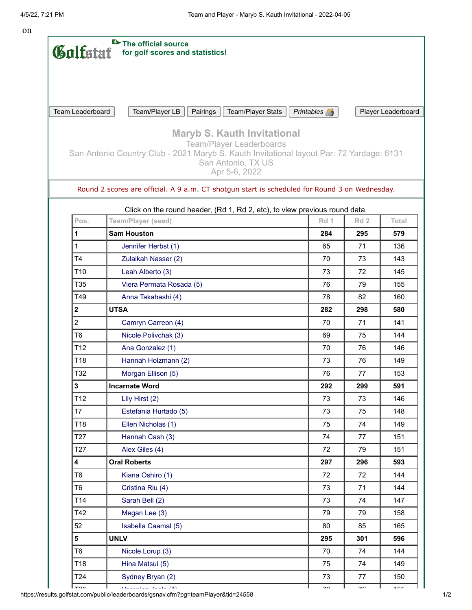on

| Gulfstat                                                                                                  | The official source<br>for golf scores and statistics!                                                                                                                                                   |      |                 |                  |  |  |  |
|-----------------------------------------------------------------------------------------------------------|----------------------------------------------------------------------------------------------------------------------------------------------------------------------------------------------------------|------|-----------------|------------------|--|--|--|
|                                                                                                           |                                                                                                                                                                                                          |      |                 |                  |  |  |  |
|                                                                                                           |                                                                                                                                                                                                          |      |                 |                  |  |  |  |
| Team/Player LB<br>Team Leaderboard<br>Pairings<br>Team/Player Stats<br>Printables A<br>Player Leaderboard |                                                                                                                                                                                                          |      |                 |                  |  |  |  |
|                                                                                                           | <b>Maryb S. Kauth Invitational</b><br><b>Team/Player Leaderboards</b><br>San Antonio Country Club - 2021 Maryb S. Kauth Invitational layout Par: 72 Yardage: 6131<br>San Antonio, TX US<br>Apr 5-6, 2022 |      |                 |                  |  |  |  |
|                                                                                                           | Round 2 scores are official. A 9 a.m. CT shotgun start is scheduled for Round 3 on Wednesday.                                                                                                            |      |                 |                  |  |  |  |
| Pos.                                                                                                      | Click on the round header, (Rd 1, Rd 2, etc), to view previous round data<br>Team/Player (seed)                                                                                                          | Rd 1 | Rd <sub>2</sub> | Total            |  |  |  |
| 1                                                                                                         | <b>Sam Houston</b>                                                                                                                                                                                       | 284  | 295             | 579              |  |  |  |
| 1                                                                                                         | Jennifer Herbst (1)                                                                                                                                                                                      | 65   | 71              | 136              |  |  |  |
| T <sub>4</sub>                                                                                            | Zulaikah Nasser (2)                                                                                                                                                                                      | 70   | 73              | 143              |  |  |  |
| T <sub>10</sub>                                                                                           | Leah Alberto (3)                                                                                                                                                                                         | 73   | 72              | 145              |  |  |  |
| T <sub>35</sub>                                                                                           | Viera Permata Rosada (5)                                                                                                                                                                                 | 76   | 79              | 155              |  |  |  |
| T49                                                                                                       | Anna Takahashi (4)                                                                                                                                                                                       | 78   | 82              | 160              |  |  |  |
| $\mathbf{2}$                                                                                              | <b>UTSA</b>                                                                                                                                                                                              | 282  | 298             | 580              |  |  |  |
| $\overline{c}$                                                                                            | Camryn Carreon (4)                                                                                                                                                                                       | 70   | 71              | 141              |  |  |  |
| T <sub>6</sub>                                                                                            | Nicole Polivchak (3)                                                                                                                                                                                     | 69   | 75              | 144              |  |  |  |
| T <sub>12</sub>                                                                                           | Ana Gonzalez (1)                                                                                                                                                                                         | 70   | 76              | 146              |  |  |  |
| T <sub>18</sub>                                                                                           | Hannah Holzmann (2)                                                                                                                                                                                      | 73   | 76              | 149              |  |  |  |
| T32                                                                                                       | Morgan Ellison (5)                                                                                                                                                                                       | 76   | 77              | 153              |  |  |  |
| 3                                                                                                         | <b>Incarnate Word</b>                                                                                                                                                                                    | 292  | 299             | 591              |  |  |  |
| T12                                                                                                       | Lily Hirst (2)                                                                                                                                                                                           | 73   | 73              | 146              |  |  |  |
| 17                                                                                                        | Estefania Hurtado (5)                                                                                                                                                                                    | 73   | 75              | 148              |  |  |  |
| T18                                                                                                       | Ellen Nicholas (1)                                                                                                                                                                                       | 75   | 74              | 149              |  |  |  |
| T <sub>27</sub>                                                                                           | Hannah Cash (3)                                                                                                                                                                                          | 74   | 77              | 151              |  |  |  |
| T <sub>27</sub>                                                                                           | Alex Giles (4)                                                                                                                                                                                           | 72   | 79              | 151              |  |  |  |
| $\overline{\mathbf{4}}$                                                                                   | <b>Oral Roberts</b>                                                                                                                                                                                      | 297  | 296             | 593              |  |  |  |
| T <sub>6</sub>                                                                                            | Kiana Oshiro (1)                                                                                                                                                                                         | 72   | 72              | 144              |  |  |  |
| T <sub>6</sub>                                                                                            | Cristina Riu (4)                                                                                                                                                                                         | 73   | 71              | 144              |  |  |  |
| T14                                                                                                       | Sarah Bell (2)                                                                                                                                                                                           | 73   | 74              | 147              |  |  |  |
| T42                                                                                                       | Megan Lee (3)                                                                                                                                                                                            | 79   | 79              | 158              |  |  |  |
| 52                                                                                                        | Isabella Caamal (5)                                                                                                                                                                                      | 80   | 85              | 165              |  |  |  |
| 5                                                                                                         | <b>UNLV</b>                                                                                                                                                                                              | 295  | 301             | 596              |  |  |  |
| T <sub>6</sub>                                                                                            | Nicole Lorup (3)                                                                                                                                                                                         | 70   | 74              | 144              |  |  |  |
| T18                                                                                                       | Hina Matsui (5)                                                                                                                                                                                          | 75   | 74              | 149              |  |  |  |
| T <sub>24</sub>                                                                                           | Sydney Bryan (2)                                                                                                                                                                                         | 73   | 77              | 150              |  |  |  |
| T                                                                                                         | <i>Managhan</i> Janie (4)                                                                                                                                                                                | 70   | $70^{\circ}$    | 4.5 <sub>E</sub> |  |  |  |